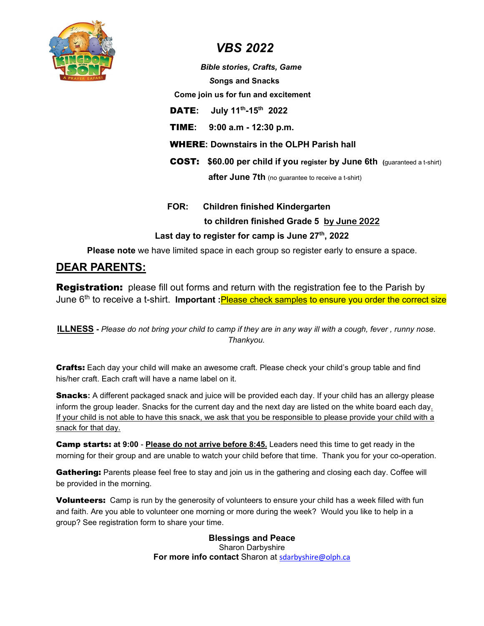

# VBS 2022

# Bible stories, Crafts, Game

Songs and Snacks

Come join us for fun and excitement

DATE: July 11<sup>th</sup>-15<sup>th</sup> 2022

TIME: 9:00 a.m - 12:30 p.m.

WHERE: Downstairs in the OLPH Parish hall

COST: \$60.00 per child if you register by June 6th (guaranteed a t-shirt) **after June 7th** (no quarantee to receive a t-shirt)

# FOR: Children finished Kindergarten to children finished Grade 5 by June 2022 Last day to register for camp is June **27**th, 2022

Please note we have limited space in each group so register early to ensure a space.

# DEAR PARENTS:

**Registration:** please fill out forms and return with the registration fee to the Parish by June 6<sup>th</sup> to receive a t-shirt. Important : Please check samples to ensure you order the correct size

ILLNESS - Please do not bring your child to camp if they are in any way ill with a cough, fever , runny nose. Thankyou.

**Crafts:** Each day your child will make an awesome craft. Please check your child's group table and find his/her craft. Each craft will have a name label on it.

Snacks: A different packaged snack and juice will be provided each day. If your child has an allergy please inform the group leader. Snacks for the current day and the next day are listed on the white board each day. If your child is not able to have this snack, we ask that you be responsible to please provide your child with a snack for that day.

**Camp starts: at 9:00 - Please do not arrive before 8:45.** Leaders need this time to get ready in the morning for their group and are unable to watch your child before that time. Thank you for your co-operation.

Gathering: Parents please feel free to stay and join us in the gathering and closing each day. Coffee will be provided in the morning.

**Volunteers:** Camp is run by the generosity of volunteers to ensure your child has a week filled with fun and faith. Are you able to volunteer one morning or more during the week? Would you like to help in a group? See registration form to share your time.

> Blessings and Peace Sharon Darbyshire For more info contact Sharon at sdarbyshire@olph.ca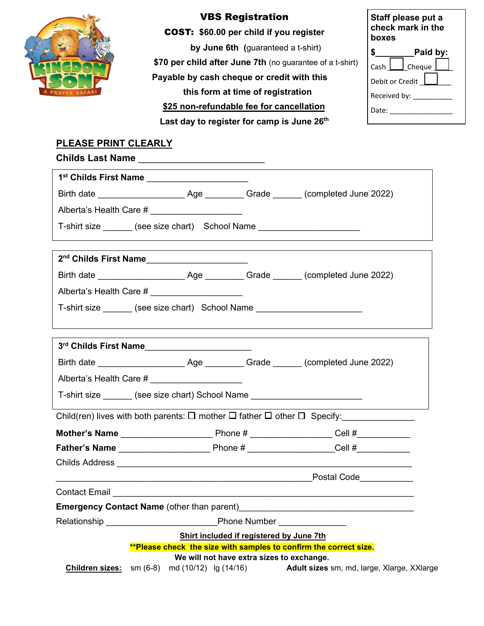

## VBS Registration

COST: \$60.00 per child if you register

by June 6th (guaranteed a t-shirt) \$70 per child after June 7th (no guarantee of a t-shirt) Payable by cash cheque or credit with this this form at time of registration \$25 non-refundable fee for cancellation

| Last day to register for camp is June 26th |  |
|--------------------------------------------|--|
|--------------------------------------------|--|

| Staff please put a<br>check mark in the<br>boxes |  |
|--------------------------------------------------|--|
| Paid by:                                         |  |
| Cash   Cheque                                    |  |
| Debit or Credit                                  |  |
| Received by:                                     |  |
| Date:                                            |  |
|                                                  |  |

## PLEASE PRINT CLEARLY

|                 | 1st Childs First Name ______________________                                     |                                           |                                                                                                          |
|-----------------|----------------------------------------------------------------------------------|-------------------------------------------|----------------------------------------------------------------------------------------------------------|
|                 |                                                                                  |                                           |                                                                                                          |
|                 | Alberta's Health Care # _____________________                                    |                                           |                                                                                                          |
|                 | T-shirt size _______ (see size chart)    School Name ___________________________ |                                           |                                                                                                          |
|                 |                                                                                  |                                           |                                                                                                          |
|                 |                                                                                  |                                           |                                                                                                          |
|                 | Alberta's Health Care # _____________________                                    |                                           |                                                                                                          |
|                 | T-shirt size ______ (see size chart) School Name __________________________      |                                           |                                                                                                          |
|                 |                                                                                  |                                           |                                                                                                          |
|                 | 3rd Childs First Name_______________________                                     |                                           |                                                                                                          |
|                 |                                                                                  |                                           |                                                                                                          |
|                 | Alberta's Health Care # _______________________                                  |                                           |                                                                                                          |
|                 | T-shirt size _______ (see size chart) School Name ______________________________ |                                           |                                                                                                          |
|                 |                                                                                  |                                           | Child(ren) lives with both parents: $\square$ mother $\square$ father $\square$ other $\square$ Specify: |
|                 |                                                                                  |                                           |                                                                                                          |
|                 |                                                                                  |                                           |                                                                                                          |
|                 |                                                                                  |                                           |                                                                                                          |
|                 |                                                                                  |                                           |                                                                                                          |
|                 |                                                                                  |                                           |                                                                                                          |
|                 |                                                                                  |                                           | <b>Emergency Contact Name</b> (other than parent)<br><u>Emergency Contact Name</u> (other than parent)   |
|                 | <b>Relationship Relationship</b>                                                 |                                           | Phone Number _______________                                                                             |
|                 |                                                                                  | Shirt included if registered by June 7th  |                                                                                                          |
|                 | **Please check the size with samples to confirm the correct size.                | We will not have extra sizes to exchange. |                                                                                                          |
| Children sizes: | sm (6-8) md (10/12) lg (14/16)                                                   |                                           | Adult sizes sm, md, large, Xlarge, XXlarge                                                               |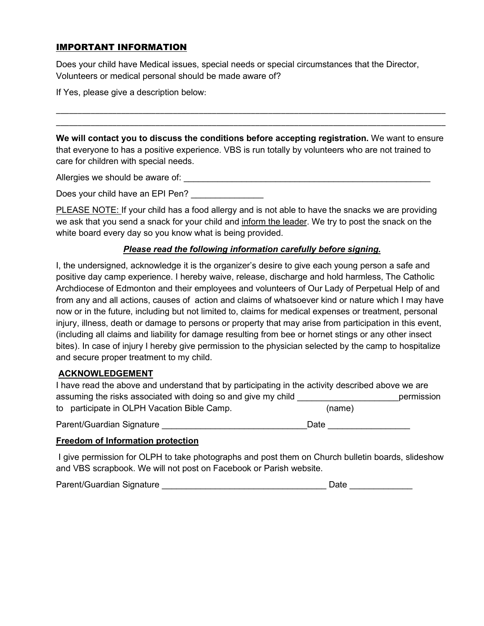## IMPORTANT INFORMATION

Does your child have Medical issues, special needs or special circumstances that the Director, Volunteers or medical personal should be made aware of?

If Yes, please give a description below:

We will contact you to discuss the conditions before accepting registration. We want to ensure that everyone to has a positive experience. VBS is run totally by volunteers who are not trained to care for children with special needs.

\_\_\_\_\_\_\_\_\_\_\_\_\_\_\_\_\_\_\_\_\_\_\_\_\_\_\_\_\_\_\_\_\_\_\_\_\_\_\_\_\_\_\_\_\_\_\_\_\_\_\_\_\_\_\_\_\_\_\_\_\_\_\_\_\_\_\_\_\_\_\_\_\_\_\_\_\_\_\_\_\_\_\_\_\_\_\_\_\_\_

\_\_\_\_\_\_\_\_\_\_\_\_\_\_\_\_\_\_\_\_\_\_\_\_\_\_\_\_\_\_\_\_\_\_\_\_\_\_\_\_\_\_\_\_\_\_\_\_\_\_\_\_\_\_\_\_\_\_\_\_\_\_\_\_\_\_\_\_\_\_\_\_\_\_\_\_\_\_\_\_\_\_\_\_\_\_\_\_\_\_

Allergies we should be aware of: \_\_\_\_\_\_\_\_\_\_\_\_\_\_\_\_\_\_\_\_\_\_\_\_\_\_\_\_\_\_\_\_\_\_\_\_\_\_\_\_\_\_\_\_\_\_\_\_\_\_\_

Does your child have an EPI Pen?

PLEASE NOTE: If your child has a food allergy and is not able to have the snacks we are providing we ask that you send a snack for your child and inform the leader. We try to post the snack on the white board every day so you know what is being provided.

### Please read the following information carefully before signing.

I, the undersigned, acknowledge it is the organizer's desire to give each young person a safe and positive day camp experience. I hereby waive, release, discharge and hold harmless, The Catholic Archdiocese of Edmonton and their employees and volunteers of Our Lady of Perpetual Help of and from any and all actions, causes of action and claims of whatsoever kind or nature which I may have now or in the future, including but not limited to, claims for medical expenses or treatment, personal injury, illness, death or damage to persons or property that may arise from participation in this event, (including all claims and liability for damage resulting from bee or hornet stings or any other insect bites). In case of injury I hereby give permission to the physician selected by the camp to hospitalize and secure proper treatment to my child.

### ACKNOWLEDGEMENT

| I have read the above and understand that by participating in the activity described above we are |        |            |
|---------------------------------------------------------------------------------------------------|--------|------------|
| assuming the risks associated with doing so and give my child                                     |        | permission |
| to participate in OLPH Vacation Bible Camp.                                                       | (name) |            |
| Parent/Guardian Signature                                                                         | Date   |            |

### Freedom of Information protection

 I give permission for OLPH to take photographs and post them on Church bulletin boards, slideshow and VBS scrapbook. We will not post on Facebook or Parish website.

Parent/Guardian Signature \_\_\_\_\_\_\_\_\_\_\_\_\_\_\_\_\_\_\_\_\_\_\_\_\_\_\_\_\_\_\_\_\_\_ Date \_\_\_\_\_\_\_\_\_\_\_\_\_